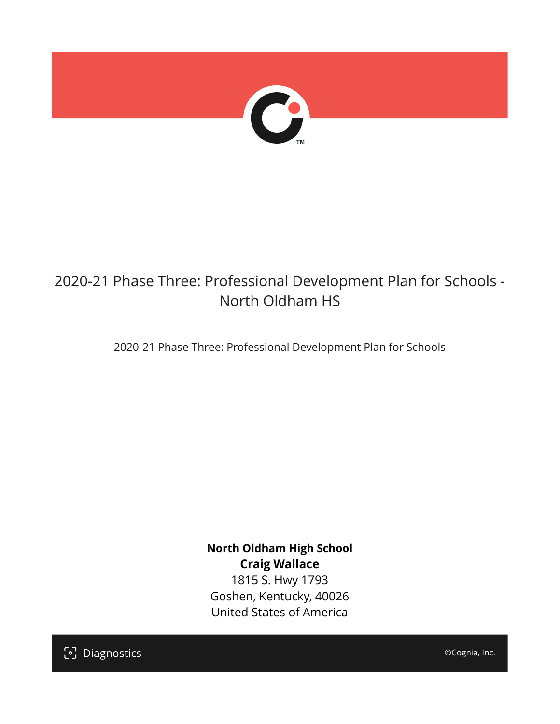

## 2020-21 Phase Three: Professional Development Plan for Schools - North Oldham HS

2020-21 Phase Three: Professional Development Plan for Schools

**North Oldham High School Craig Wallace** 1815 S. Hwy 1793 Goshen, Kentucky, 40026 United States of America

[၁] Diagnostics

©Cognia, Inc.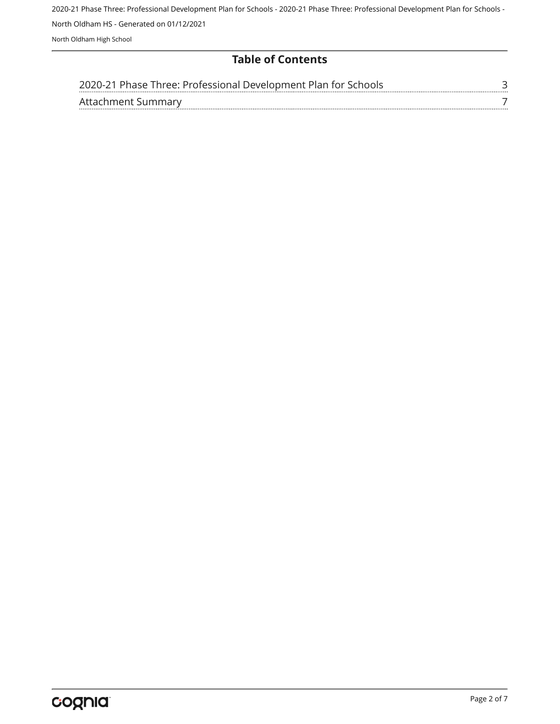2020-21 Phase Three: Professional Development Plan for Schools - 2020-21 Phase Three: Professional Development Plan for Schools - North Oldham HS - Generated on 01/12/2021 North Oldham High School

## **Table of Contents**

| 2020-21 Phase Three: Professional Development Plan for Schools |  |
|----------------------------------------------------------------|--|
| Attachment Summary                                             |  |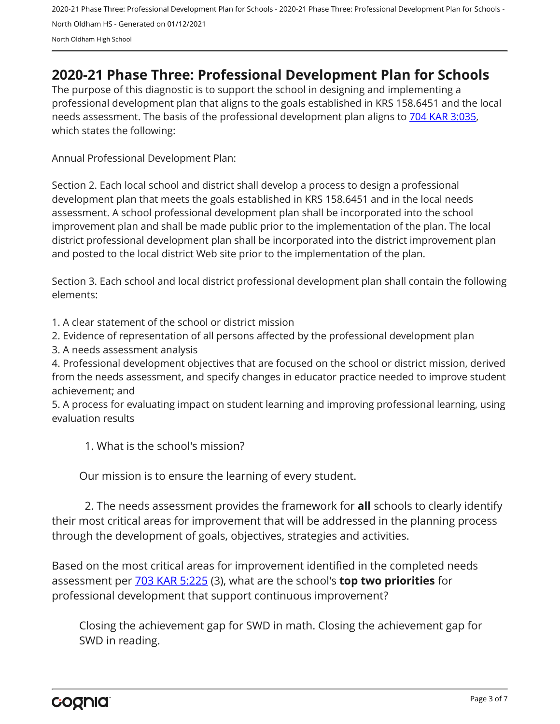2020-21 Phase Three: Professional Development Plan for Schools - 2020-21 Phase Three: Professional Development Plan for Schools - North Oldham HS - Generated on 01/12/2021 North Oldham High School

## <span id="page-2-0"></span>**2020-21 Phase Three: Professional Development Plan for Schools**

The purpose of this diagnostic is to support the school in designing and implementing a professional development plan that aligns to the goals established in KRS 158.6451 and the local needs assessment. The basis of the professional development plan aligns to [704 KAR 3:035,](https://apps.legislature.ky.gov/Law/kar/704/003/035.pdf) which states the following:

Annual Professional Development Plan:

Section 2. Each local school and district shall develop a process to design a professional development plan that meets the goals established in KRS 158.6451 and in the local needs assessment. A school professional development plan shall be incorporated into the school improvement plan and shall be made public prior to the implementation of the plan. The local district professional development plan shall be incorporated into the district improvement plan and posted to the local district Web site prior to the implementation of the plan.

Section 3. Each school and local district professional development plan shall contain the following elements:

1. A clear statement of the school or district mission

2. Evidence of representation of all persons affected by the professional development plan

3. A needs assessment analysis

4. Professional development objectives that are focused on the school or district mission, derived from the needs assessment, and specify changes in educator practice needed to improve student achievement; and

5. A process for evaluating impact on student learning and improving professional learning, using evaluation results

1. What is the school's mission?

Our mission is to ensure the learning of every student.

2. The needs assessment provides the framework for **all** schools to clearly identify their most critical areas for improvement that will be addressed in the planning process through the development of goals, objectives, strategies and activities.

Based on the most critical areas for improvement identified in the completed needs assessment per [703 KAR 5:225](https://apps.legislature.ky.gov/law/kar/703/005/225.pdf) (3), what are the school's **top two priorities** for professional development that support continuous improvement?

Closing the achievement gap for SWD in math. Closing the achievement gap for SWD in reading.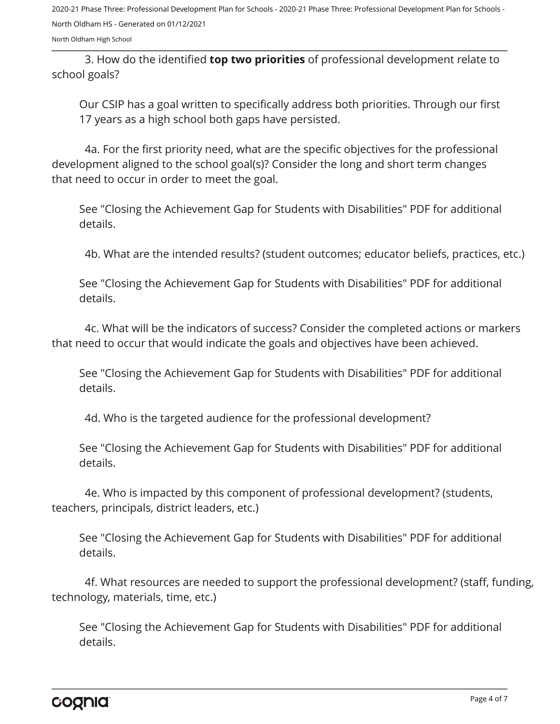2020-21 Phase Three: Professional Development Plan for Schools - 2020-21 Phase Three: Professional Development Plan for Schools - North Oldham HS - Generated on 01/12/2021

North Oldham High School

3. How do the identified **top two priorities** of professional development relate to school goals?

Our CSIP has a goal written to specifically address both priorities. Through our first 17 years as a high school both gaps have persisted.

4a. For the first priority need, what are the specific objectives for the professional development aligned to the school goal(s)? Consider the long and short term changes that need to occur in order to meet the goal.

See "Closing the Achievement Gap for Students with Disabilities" PDF for additional details.

4b. What are the intended results? (student outcomes; educator beliefs, practices, etc.)

See "Closing the Achievement Gap for Students with Disabilities" PDF for additional details.

4c. What will be the indicators of success? Consider the completed actions or markers that need to occur that would indicate the goals and objectives have been achieved.

See "Closing the Achievement Gap for Students with Disabilities" PDF for additional details.

4d. Who is the targeted audience for the professional development?

See "Closing the Achievement Gap for Students with Disabilities" PDF for additional details.

4e. Who is impacted by this component of professional development? (students, teachers, principals, district leaders, etc.)

See "Closing the Achievement Gap for Students with Disabilities" PDF for additional details.

4f. What resources are needed to support the professional development? (staff, funding, technology, materials, time, etc.)

See "Closing the Achievement Gap for Students with Disabilities" PDF for additional details.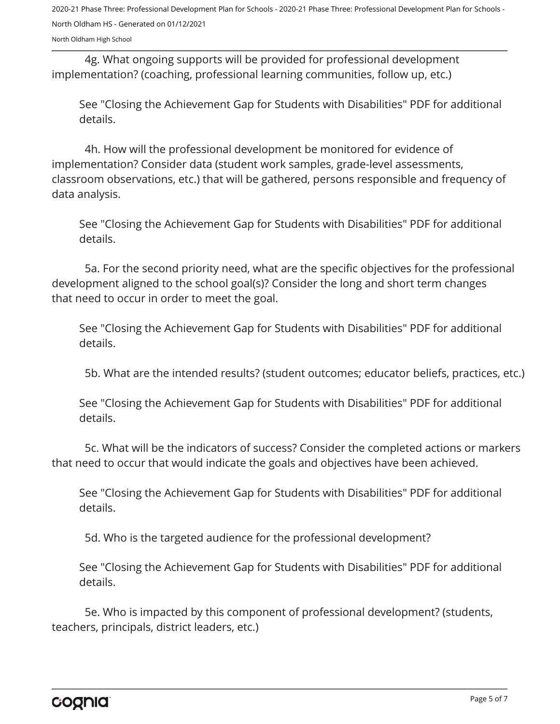2020-21 Phase Three: Professional Development Plan for Schools - 2020-21 Phase Three: Professional Development Plan for Schools - North Oldham HS - Generated on 01/12/2021

North Oldham High School

4g. What ongoing supports will be provided for professional development implementation? (coaching, professional learning communities, follow up, etc.)

See "Closing the Achievement Gap for Students with Disabilities" PDF for additional details.

4h. How will the professional development be monitored for evidence of implementation? Consider data (student work samples, grade-level assessments, classroom observations, etc.) that will be gathered, persons responsible and frequency of data analysis.

See "Closing the Achievement Gap for Students with Disabilities" PDF for additional details.

5a. For the second priority need, what are the specific objectives for the professional development aligned to the school goal(s)? Consider the long and short term changes that need to occur in order to meet the goal.

See "Closing the Achievement Gap for Students with Disabilities" PDF for additional details.

5b. What are the intended results? (student outcomes; educator beliefs, practices, etc.)

See "Closing the Achievement Gap for Students with Disabilities" PDF for additional details.

5c. What will be the indicators of success? Consider the completed actions or markers that need to occur that would indicate the goals and objectives have been achieved.

See "Closing the Achievement Gap for Students with Disabilities" PDF for additional details.

5d. Who is the targeted audience for the professional development?

See "Closing the Achievement Gap for Students with Disabilities" PDF for additional details.

5e. Who is impacted by this component of professional development? (students, teachers, principals, district leaders, etc.)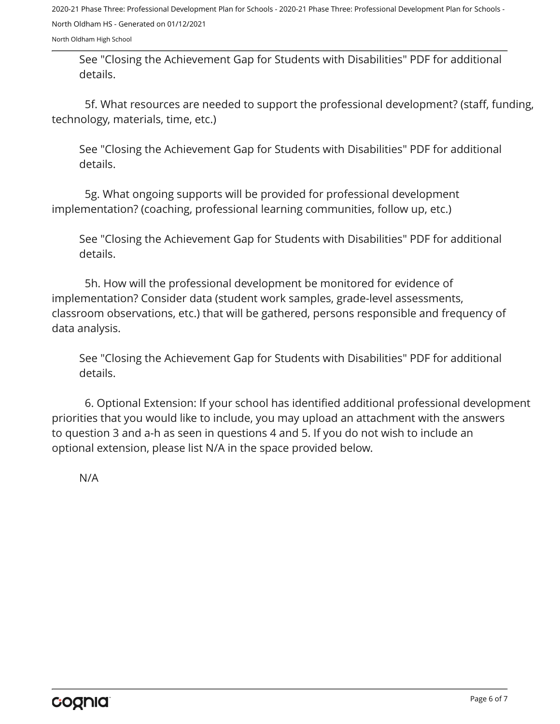2020-21 Phase Three: Professional Development Plan for Schools - 2020-21 Phase Three: Professional Development Plan for Schools - North Oldham HS - Generated on 01/12/2021

North Oldham High School

See "Closing the Achievement Gap for Students with Disabilities" PDF for additional details.

5f. What resources are needed to support the professional development? (staff, funding, technology, materials, time, etc.)

See "Closing the Achievement Gap for Students with Disabilities" PDF for additional details.

5g. What ongoing supports will be provided for professional development implementation? (coaching, professional learning communities, follow up, etc.)

See "Closing the Achievement Gap for Students with Disabilities" PDF for additional details.

5h. How will the professional development be monitored for evidence of implementation? Consider data (student work samples, grade-level assessments, classroom observations, etc.) that will be gathered, persons responsible and frequency of data analysis.

See "Closing the Achievement Gap for Students with Disabilities" PDF for additional details.

6. Optional Extension: If your school has identified additional professional development priorities that you would like to include, you may upload an attachment with the answers to question 3 and a-h as seen in questions 4 and 5. If you do not wish to include an optional extension, please list N/A in the space provided below.

N/A